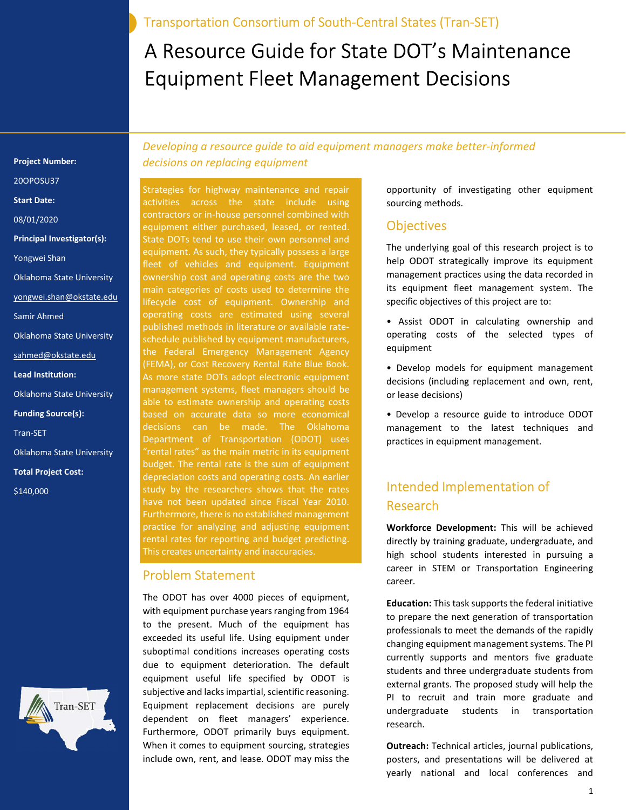Transportation Consortium of South-Central States (Tran-SET)

# A Resource Guide for State DOT's Maintenance Equipment Fleet Management Decisions

#### Project Number:

20OPOSU37

Start Date:

08/01/2020

Principal Investigator(s):

Yongwei Shan

- Oklahoma State University
- yongwei.shan@okstate.edu
- Samir Ahmed
- Oklahoma State University
- sahmed@okstate.edu
- Lead Institution:
- Oklahoma State University
- Funding Source(s):

Tran-SET

- Oklahoma State University
- Total Project Cost:
- \$140,000



Developing a resource guide to aid equipment managers make better-informed decisions on replacing equipment

Strategies for highway maintenance and repair activities across the state include using contractors or in-house personnel combined with equipment either purchased, leased, or rented. State DOTs tend to use their own personnel and equipment. As such, they typically possess a large fleet of vehicles and equipment. Equipment ownership cost and operating costs are the two main categories of costs used to determine the lifecycle cost of equipment. Ownership and operating costs are estimated using several published methods in literature or available rateschedule published by equipment manufacturers, the Federal Emergency Management Agency (FEMA), or Cost Recovery Rental Rate Blue Book. As more state DOTs adopt electronic equipment management systems, fleet managers should be able to estimate ownership and operating costs based on accurate data so more economical decisions can be made. The Oklahoma Department of Transportation (ODOT) uses "rental rates" as the main metric in its equipment budget. The rental rate is the sum of equipment depreciation costs and operating costs. An earlier study by the researchers shows that the rates have not been updated since Fiscal Year 2010. Furthermore, there is no established management practice for analyzing and adjusting equipment rental rates for reporting and budget predicting. This creates uncertainty and inaccuracies.

## Problem Statement

The ODOT has over 4000 pieces of equipment, with equipment purchase years ranging from 1964 to the present. Much of the equipment has exceeded its useful life. Using equipment under suboptimal conditions increases operating costs due to equipment deterioration. The default equipment useful life specified by ODOT is subjective and lacks impartial, scientific reasoning. Equipment replacement decisions are purely dependent on fleet managers' experience. Furthermore, ODOT primarily buys equipment. When it comes to equipment sourcing, strategies include own, rent, and lease. ODOT may miss the

opportunity of investigating other equipment sourcing methods.

### **Objectives**

The underlying goal of this research project is to help ODOT strategically improve its equipment management practices using the data recorded in its equipment fleet management system. The specific objectives of this project are to:

- Assist ODOT in calculating ownership and operating costs of the selected types of equipment
- Develop models for equipment management decisions (including replacement and own, rent, or lease decisions)

• Develop a resource guide to introduce ODOT management to the latest techniques and practices in equipment management.

## Intended Implementation of Research

Workforce Development: This will be achieved directly by training graduate, undergraduate, and high school students interested in pursuing a career in STEM or Transportation Engineering career.

Education: This task supports the federal initiative to prepare the next generation of transportation professionals to meet the demands of the rapidly changing equipment management systems. The PI currently supports and mentors five graduate students and three undergraduate students from external grants. The proposed study will help the PI to recruit and train more graduate and undergraduate students in transportation research.

Outreach: Technical articles, journal publications, posters, and presentations will be delivered at yearly national and local conferences and